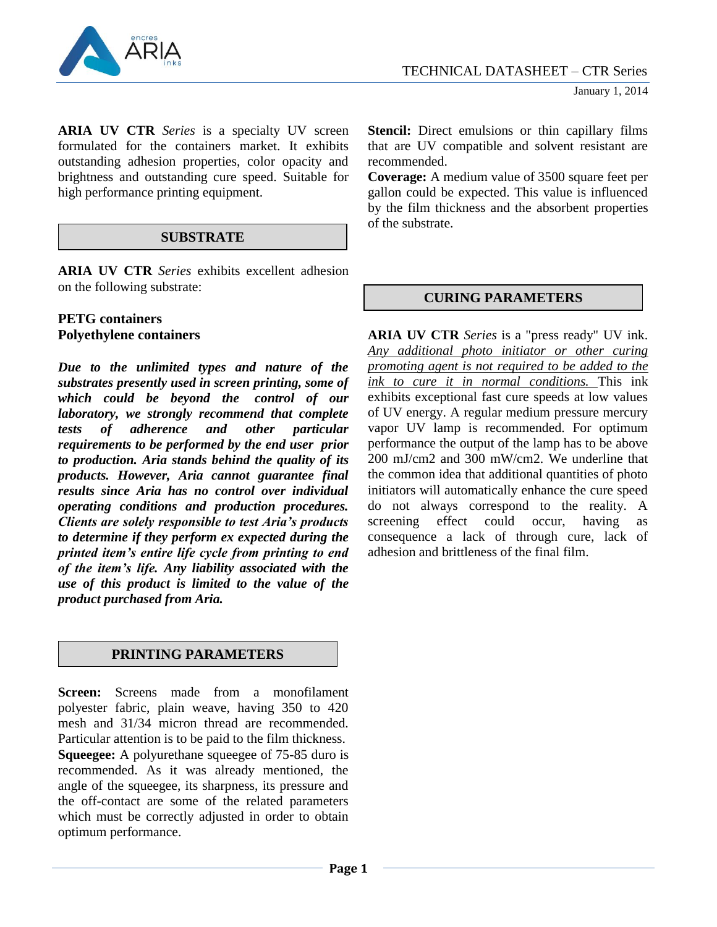

**ARIA UV CTR** *Series* is a specialty UV screen formulated for the containers market. It exhibits outstanding adhesion properties, color opacity and brightness and outstanding cure speed. Suitable for high performance printing equipment.

## **SUBSTRATE**

**ARIA UV CTR** *Series* exhibits excellent adhesion on the following substrate:

#### **PETG containers Polyethylene containers**

*Due to the unlimited types and nature of the substrates presently used in screen printing, some of which could be beyond the control of our laboratory, we strongly recommend that complete tests of adherence and other particular requirements to be performed by the end user prior to production. Aria stands behind the quality of its products. However, Aria cannot guarantee final results since Aria has no control over individual operating conditions and production procedures. Clients are solely responsible to test Aria's products to determine if they perform ex expected during the printed item's entire life cycle from printing to end of the item's life. Any liability associated with the use of this product is limited to the value of the product purchased from Aria.*

# **PRINTING PARAMETERS**

**Screen:** Screens made from a monofilament polyester fabric, plain weave, having 350 to 420 mesh and 31/34 micron thread are recommended. Particular attention is to be paid to the film thickness. **Squeegee:** A polyurethane squeegee of 75-85 duro is recommended. As it was already mentioned, the angle of the squeegee, its sharpness, its pressure and the off-contact are some of the related parameters which must be correctly adjusted in order to obtain optimum performance.

**Stencil:** Direct emulsions or thin capillary films that are UV compatible and solvent resistant are recommended.

**Coverage:** A medium value of 3500 square feet per gallon could be expected. This value is influenced by the film thickness and the absorbent properties of the substrate.

## **CURING PARAMETERS**

**ARIA UV CTR** *Series* is a "press ready" UV ink. *Any additional photo initiator or other curing promoting agent is not required to be added to the ink to cure it in normal conditions.* This ink exhibits exceptional fast cure speeds at low values of UV energy. A regular medium pressure mercury vapor UV lamp is recommended. For optimum performance the output of the lamp has to be above 200 mJ/cm2 and 300 mW/cm2. We underline that the common idea that additional quantities of photo initiators will automatically enhance the cure speed do not always correspond to the reality. A screening effect could occur, having as consequence a lack of through cure, lack of adhesion and brittleness of the final film.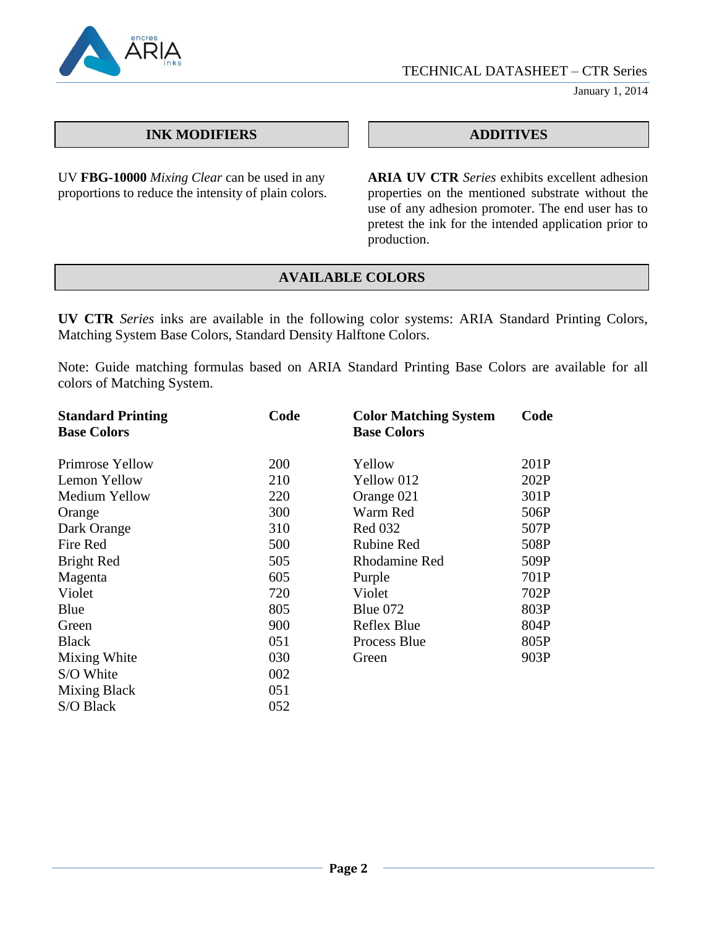

TECHNICAL DATASHEET – CTR Series

January 1, 2014

## **INK MODIFIERS ADDITIVES**

UV **FBG-10000** *Mixing Clear* can be used in any proportions to reduce the intensity of plain colors.

**ARIA UV CTR** *Series* exhibits excellent adhesion properties on the mentioned substrate without the use of any adhesion promoter. The end user has to pretest the ink for the intended application prior to production.

# **AVAILABLE COLORS**

**UV CTR** *Series* inks are available in the following color systems: ARIA Standard Printing Colors, Matching System Base Colors, Standard Density Halftone Colors.

Note: Guide matching formulas based on ARIA Standard Printing Base Colors are available for all colors of Matching System.

| <b>Standard Printing</b> | Code | <b>Color Matching System</b> | Code |
|--------------------------|------|------------------------------|------|
| <b>Base Colors</b>       |      | <b>Base Colors</b>           |      |
| Primrose Yellow          | 200  | Yellow                       | 201P |
| Lemon Yellow             | 210  | Yellow 012                   | 202P |
| Medium Yellow            | 220  | Orange 021                   | 301P |
| Orange                   | 300  | Warm Red                     | 506P |
| Dark Orange              | 310  | <b>Red 032</b>               | 507P |
| Fire Red                 | 500  | <b>Rubine Red</b>            | 508P |
| Bright Red               | 505  | <b>Rhodamine Red</b>         | 509P |
| Magenta                  | 605  | Purple                       | 701P |
| Violet                   | 720  | Violet                       | 702P |
| Blue                     | 805  | Blue $072$                   | 803P |
| Green                    | 900  | Reflex Blue                  | 804P |
| <b>Black</b>             | 051  | Process Blue                 | 805P |
| Mixing White             | 030  | Green                        | 903P |
| S/O White                | 002  |                              |      |
| Mixing Black             | 051  |                              |      |
| S/O Black                | 052  |                              |      |